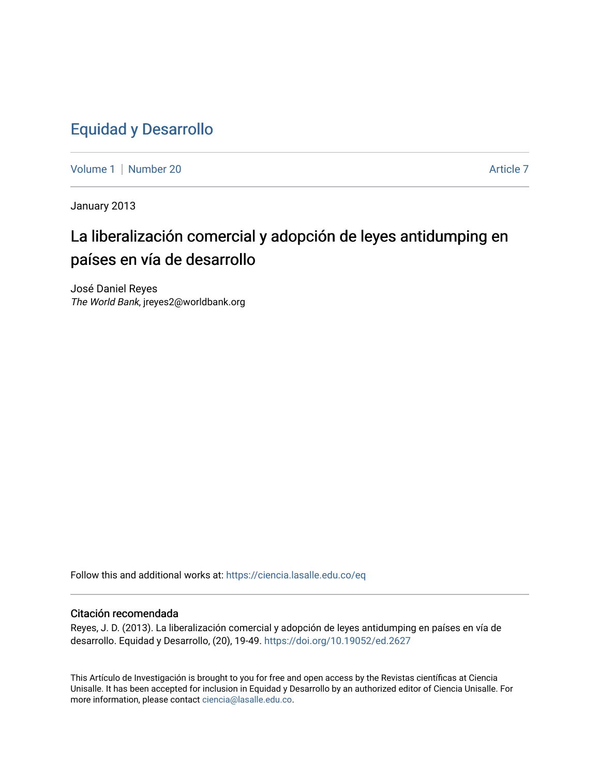## [Equidad y Desarrollo](https://ciencia.lasalle.edu.co/eq)

[Volume 1](https://ciencia.lasalle.edu.co/eq/vol1) | [Number 20](https://ciencia.lasalle.edu.co/eq/vol1/iss20) Article 7

January 2013

# La liberalización comercial y adopción de leyes antidumping en países en vía de desarrollo

José Daniel Reyes The World Bank, jreyes2@worldbank.org

Follow this and additional works at: [https://ciencia.lasalle.edu.co/eq](https://ciencia.lasalle.edu.co/eq?utm_source=ciencia.lasalle.edu.co%2Feq%2Fvol1%2Fiss20%2F7&utm_medium=PDF&utm_campaign=PDFCoverPages) 

### Citación recomendada

Reyes, J. D. (2013). La liberalización comercial y adopción de leyes antidumping en países en vía de desarrollo. Equidad y Desarrollo, (20), 19-49. <https://doi.org/10.19052/ed.2627>

This Artículo de Investigación is brought to you for free and open access by the Revistas científicas at Ciencia Unisalle. It has been accepted for inclusion in Equidad y Desarrollo by an authorized editor of Ciencia Unisalle. For more information, please contact [ciencia@lasalle.edu.co](mailto:ciencia@lasalle.edu.co).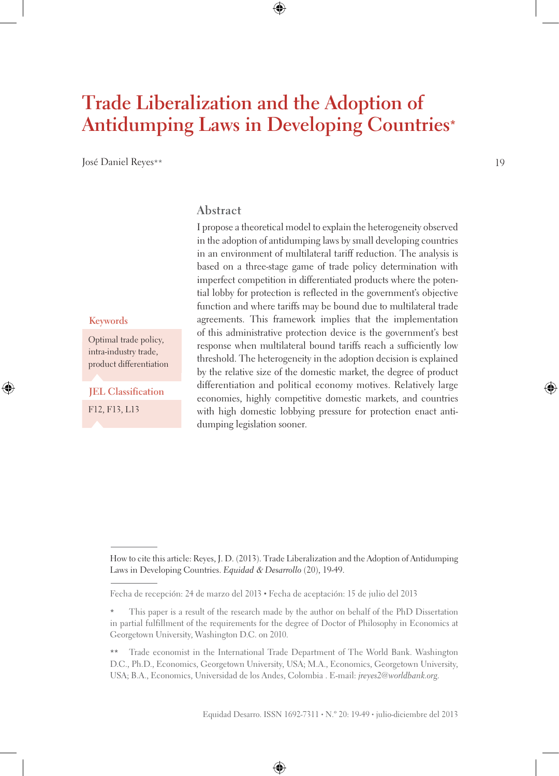# **Trade Liberalization and the Adoption of Antidumping Laws in Developing Countries\***

José Daniel Reyes\*\*

#### **Abstract**

I propose a theoretical model to explain the heterogeneity observed in the adoption of antidumping laws by small developing countries in an environment of multilateral tariff reduction. The analysis is based on a three-stage game of trade policy determination with imperfect competition in differentiated products where the potential lobby for protection is reflected in the government's objective function and where tariffs may be bound due to multilateral trade agreements. This framework implies that the implementation of this administrative protection device is the government's best response when multilateral bound tariffs reach a sufficiently low threshold. The heterogeneity in the adoption decision is explained by the relative size of the domestic market, the degree of product differentiation and political economy motives. Relatively large economies, highly competitive domestic markets, and countries with high domestic lobbying pressure for protection enact antidumping legislation sooner.

#### **Keywords**

Optimal trade policy, intra-industry trade, product differentiation

F12, F13, L13 **JEL Classification**

How to cite this article: Reyes, J. D. (2013). Trade Liberalization and the Adoption of Antidumping Laws in Developing Countries. *Equidad* & *Desarrollo* (20), 19-49.

Fecha de recepción: 24 de marzo del 2013 • Fecha de aceptación: 15 de julio del 2013

This paper is a result of the research made by the author on behalf of the PhD Dissertation in partial fulfillment of the requirements for the degree of Doctor of Philosophy in Economics at Georgetown University, Washington D.C. on 2010.

<sup>\*\*</sup> Trade economist in the International Trade Department of The World Bank. Washington D.C., Ph.D., Economics, Georgetown University, USA; M.A., Economics, Georgetown University, USA; B.A., Economics, Universidad de los Andes, Colombia . E-mail: *jreyes2@worldbank.org*.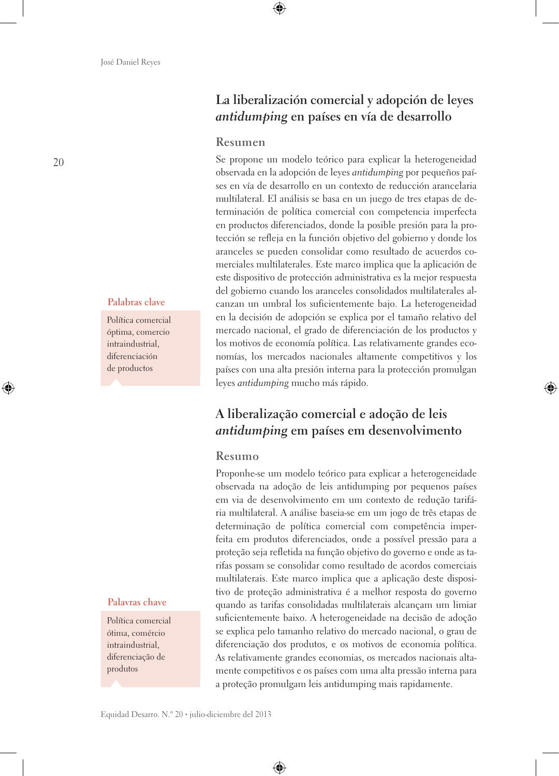#### **Palabras clave**

Política comercial óptima, comercio intraindustrial, diferenciación de productos

#### **Palavras chave**

Política comercial ótima, comércio intraindustrial, diferenciação de produtos

### **La liberalización comercial y adopción de leyes**  *antidumping* **en países en vía de desarrollo**

#### **Resumen**

Se propone un modelo teórico para explicar la heterogeneidad observada en la adopción de leyes *antidumping* por pequeños países en vía de desarrollo en un contexto de reducción arancelaria multilateral. El análisis se basa en un juego de tres etapas de determinación de política comercial con competencia imperfecta en productos diferenciados, donde la posible presión para la protección se refleja en la función objetivo del gobierno y donde los aranceles se pueden consolidar como resultado de acuerdos comerciales multilaterales. Este marco implica que la aplicación de este dispositivo de protección administrativa es la mejor respuesta del gobierno cuando los aranceles consolidados multilaterales alcanzan un umbral los suficientemente bajo. La heterogeneidad en la decisión de adopción se explica por el tamaño relativo del mercado nacional, el grado de diferenciación de los productos y los motivos de economía política. Las relativamente grandes economías, los mercados nacionales altamente competitivos y los países con una alta presión interna para la protección promulgan leyes *antidumping* mucho más rápido.

### **A liberalização comercial e adoção de leis**  *antidumping* **em países em desenvolvimento**

#### **Resumo**

Proponhe-se um modelo teórico para explicar a heterogeneidade observada na adoção de leis antidumping por pequenos países em via de desenvolvimento em um contexto de redução tarifária multilateral. A análise baseia-se em um jogo de três etapas de determinação de política comercial com competência imperfeita em produtos diferenciados, onde a possível pressão para a proteção seja refletida na função objetivo do governo e onde as tarifas possam se consolidar como resultado de acordos comerciais multilaterais. Este marco implica que a aplicação deste dispositivo de proteção administrativa é a melhor resposta do governo quando as tarifas consolidadas multilaterais alcançam um limiar suficientemente baixo. A heterogeneidade na decisão de adoção se explica pelo tamanho relativo do mercado nacional, o grau de diferenciação dos produtos, e os motivos de economia política. As relativamente grandes economias, os mercados nacionais altamente competitivos e os países com uma alta pressão interna para a proteção promulgam leis antidumping mais rapidamente.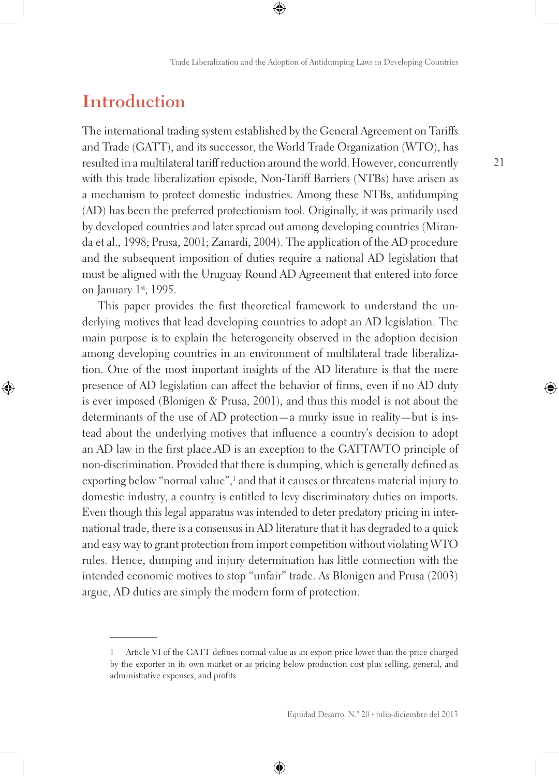## **Introduction**

The international trading system established by the General Agreement on Tariffs and Trade (GATT), and its successor, the World Trade Organization (WTO), has resulted in a multilateral tariff reduction around the world. However, concurrently with this trade liberalization episode, Non-Tariff Barriers (NTBs) have arisen as a mechanism to protect domestic industries. Among these NTBs, antidumping (AD) has been the preferred protectionism tool. Originally, it was primarily used by developed countries and later spread out among developing countries (Miranda et al., 1998; Prusa, 2001; Zanardi, 2004). The application of the AD procedure and the subsequent imposition of duties require a national AD legislation that must be aligned with the Uruguay Round AD Agreement that entered into force on January 1st, 1995.

This paper provides the first theoretical framework to understand the underlying motives that lead developing countries to adopt an AD legislation. The main purpose is to explain the heterogeneity observed in the adoption decision among developing countries in an environment of multilateral trade liberalization. One of the most important insights of the AD literature is that the mere presence of AD legislation can affect the behavior of firms, even if no AD duty is ever imposed (Blonigen & Prusa, 2001), and thus this model is not about the determinants of the use of AD protection—a murky issue in reality—but is instead about the underlying motives that influence a country's decision to adopt an AD law in the first place.AD is an exception to the GATT/WTO principle of non-discrimination. Provided that there is dumping, which is generally defined as exporting below "normal value", and that it causes or threatens material injury to domestic industry, a country is entitled to levy discriminatory duties on imports. Even though this legal apparatus was intended to deter predatory pricing in international trade, there is a consensus in AD literature that it has degraded to a quick and easy way to grant protection from import competition without violating WTO rules. Hence, dumping and injury determination has little connection with the intended economic motives to stop "unfair" trade. As Blonigen and Prusa (2003) argue, AD duties are simply the modern form of protection.

**<sup>1</sup>** Article VI of the GATT defines normal value as an export price lower than the price charged by the exporter in its own market or as pricing below production cost plus selling, general, and administrative expenses, and profits.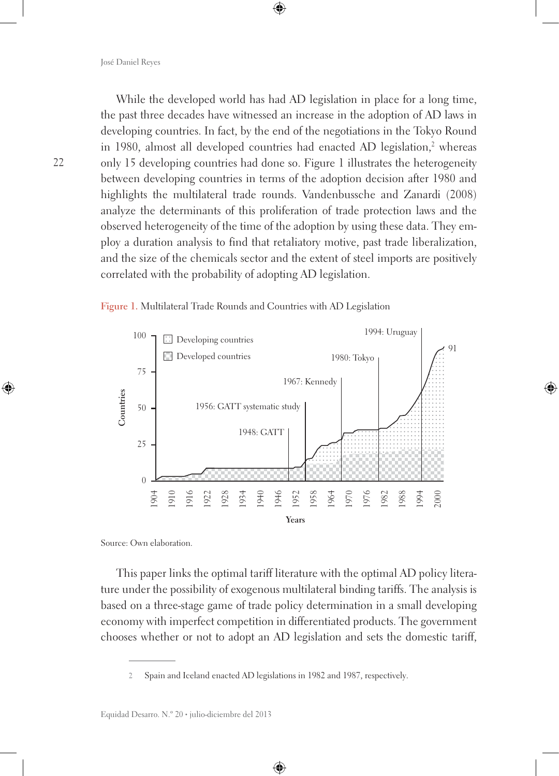While the developed world has had AD legislation in place for a long time, the past three decades have witnessed an increase in the adoption of AD laws in developing countries. In fact, by the end of the negotiations in the Tokyo Round in 1980, almost all developed countries had enacted AD legislation,<sup>2</sup> whereas only 15 developing countries had done so. Figure 1 illustrates the heterogeneity between developing countries in terms of the adoption decision after 1980 and highlights the multilateral trade rounds. Vandenbussche and Zanardi (2008) analyze the determinants of this proliferation of trade protection laws and the observed heterogeneity of the time of the adoption by using these data. They employ a duration analysis to find that retaliatory motive, past trade liberalization, and the size of the chemicals sector and the extent of steel imports are positively correlated with the probability of adopting AD legislation.



**Figure 1.** Multilateral Trade Rounds and Countries with AD Legislation

Source: Own elaboration.

This paper links the optimal tariff literature with the optimal AD policy literature under the possibility of exogenous multilateral binding tariffs. The analysis is based on a three-stage game of trade policy determination in a small developing economy with imperfect competition in differentiated products. The government chooses whether or not to adopt an AD legislation and sets the domestic tariff,

**2** Spain and Iceland enacted AD legislations in 1982 and 1987, respectively.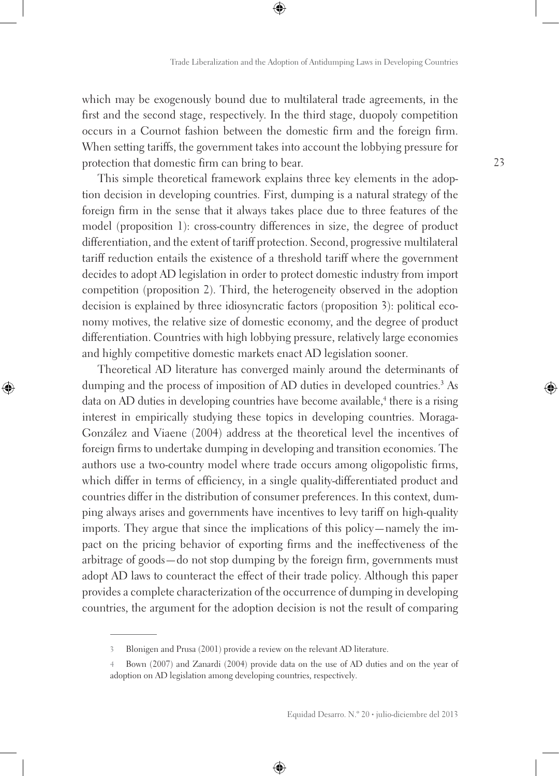which may be exogenously bound due to multilateral trade agreements, in the first and the second stage, respectively. In the third stage, duopoly competition occurs in a Cournot fashion between the domestic firm and the foreign firm. When setting tariffs, the government takes into account the lobbying pressure for protection that domestic firm can bring to bear.

This simple theoretical framework explains three key elements in the adoption decision in developing countries. First, dumping is a natural strategy of the foreign firm in the sense that it always takes place due to three features of the model (proposition 1): cross-country differences in size, the degree of product differentiation, and the extent of tariff protection. Second, progressive multilateral tariff reduction entails the existence of a threshold tariff where the government decides to adopt AD legislation in order to protect domestic industry from import competition (proposition 2). Third, the heterogeneity observed in the adoption decision is explained by three idiosyncratic factors (proposition 3): political economy motives, the relative size of domestic economy, and the degree of product differentiation. Countries with high lobbying pressure, relatively large economies and highly competitive domestic markets enact AD legislation sooner.

Theoretical AD literature has converged mainly around the determinants of dumping and the process of imposition of AD duties in developed countries.<sup>3</sup> As data on AD duties in developing countries have become available,<sup>4</sup> there is a rising interest in empirically studying these topics in developing countries. Moraga-González and Viaene (2004) address at the theoretical level the incentives of foreign firms to undertake dumping in developing and transition economies. The authors use a two-country model where trade occurs among oligopolistic firms, which differ in terms of efficiency, in a single quality-differentiated product and countries differ in the distribution of consumer preferences. In this context, dumping always arises and governments have incentives to levy tariff on high-quality imports. They argue that since the implications of this policy—namely the impact on the pricing behavior of exporting firms and the ineffectiveness of the arbitrage of goods—do not stop dumping by the foreign firm, governments must adopt AD laws to counteract the effect of their trade policy. Although this paper provides a complete characterization of the occurrence of dumping in developing countries, the argument for the adoption decision is not the result of comparing

**<sup>3</sup>** Blonigen and Prusa (2001) provide a review on the relevant AD literature.

**<sup>4</sup>** Bown (2007) and Zanardi (2004) provide data on the use of AD duties and on the year of adoption on AD legislation among developing countries, respectively.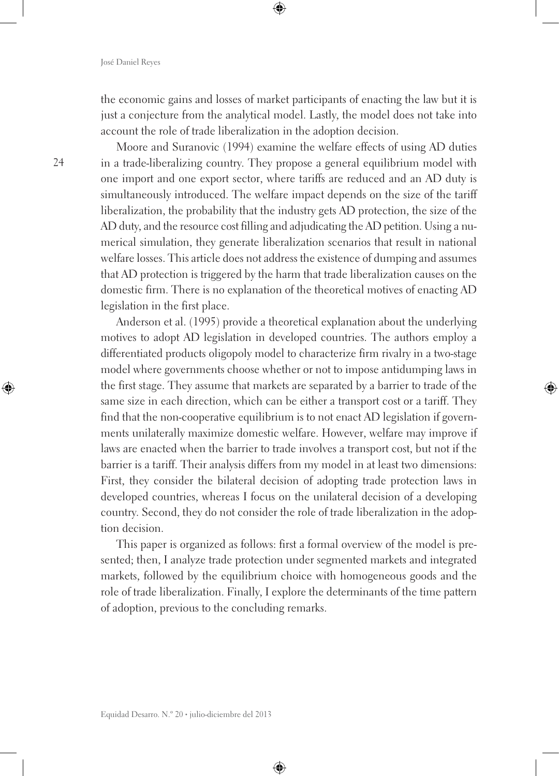the economic gains and losses of market participants of enacting the law but it is just a conjecture from the analytical model. Lastly, the model does not take into account the role of trade liberalization in the adoption decision.

Moore and Suranovic (1994) examine the welfare effects of using AD duties in a trade-liberalizing country. They propose a general equilibrium model with one import and one export sector, where tariffs are reduced and an AD duty is simultaneously introduced. The welfare impact depends on the size of the tariff liberalization, the probability that the industry gets AD protection, the size of the AD duty, and the resource cost filling and adjudicating the AD petition. Using a numerical simulation, they generate liberalization scenarios that result in national welfare losses. This article does not address the existence of dumping and assumes that AD protection is triggered by the harm that trade liberalization causes on the domestic firm. There is no explanation of the theoretical motives of enacting AD legislation in the first place.

Anderson et al. (1995) provide a theoretical explanation about the underlying motives to adopt AD legislation in developed countries. The authors employ a differentiated products oligopoly model to characterize firm rivalry in a two-stage model where governments choose whether or not to impose antidumping laws in the first stage. They assume that markets are separated by a barrier to trade of the same size in each direction, which can be either a transport cost or a tariff. They find that the non-cooperative equilibrium is to not enact AD legislation if governments unilaterally maximize domestic welfare. However, welfare may improve if laws are enacted when the barrier to trade involves a transport cost, but not if the barrier is a tariff. Their analysis differs from my model in at least two dimensions: First, they consider the bilateral decision of adopting trade protection laws in developed countries, whereas I focus on the unilateral decision of a developing country. Second, they do not consider the role of trade liberalization in the adoption decision.

This paper is organized as follows: first a formal overview of the model is presented; then, I analyze trade protection under segmented markets and integrated markets, followed by the equilibrium choice with homogeneous goods and the role of trade liberalization. Finally, I explore the determinants of the time pattern of adoption, previous to the concluding remarks.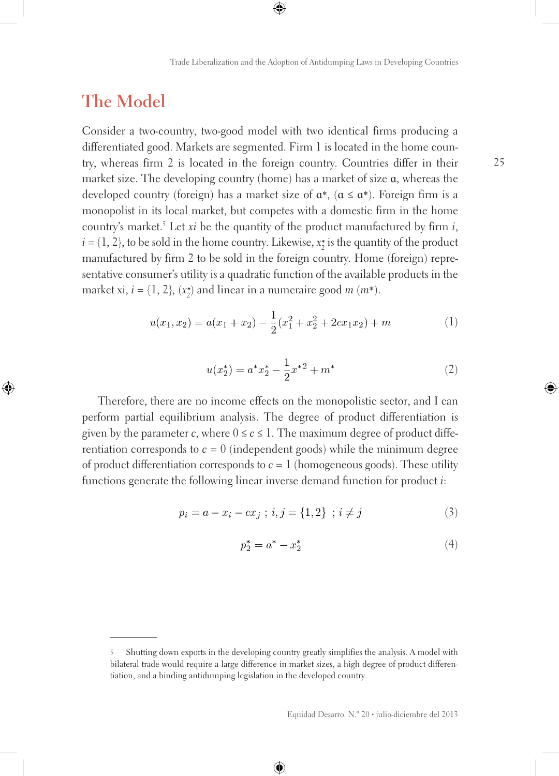### **The Model**

Consider a two-country, two-good model with two identical firms producing a differentiated good. Markets are segmented. Firm 1 is located in the home country, whereas firm 2 is located in the foreign country. Countries differ in their market size. The developing country (home) has a market of size ɑ, whereas the developed country (foreign) has a market size of  $\alpha^*$ , ( $\alpha \le \alpha^*$ ). Foreign firm is a monopolist in its local market, but competes with a domestic firm in the home country's market.5 Let *xi* be the quantity of the product manufactured by firm *i*,  $i = \{1, 2\}$ , to be sold in the home country. Likewise,  $x_2^*$  is the quantity of the product manufactured by firm 2 to be sold in the foreign country. Home (foreign) representative consumer's utility is a quadratic function of the available products in the market xi,  $i = \{1, 2\}$ ,  $(x_2^*)$  and linear in a numeraire good  $m$   $(m^*)$ .

$$
u(x_1, x_2) = a(x_1 + x_2) - \frac{1}{2}(x_1^2 + x_2^2 + 2cx_1x_2) + m
$$
 (1)

$$
u(x_2^*) = a^*x_2^* - \frac{1}{2}x^{*2} + m^*
$$
 (2)

Therefore, there are no income effects on the monopolistic sector, and I can perform partial equilibrium analysis. The degree of product differentiation is given by the parameter *c*, where  $0 \le c \le 1$ . The maximum degree of product differentiation corresponds to  $c = 0$  (independent goods) while the minimum degree of product differentiation corresponds to  $c = 1$  (homogeneous goods). These utility functions generate the following linear inverse demand function for product *i*:

$$
p_i = a - x_i - cx_j \; ; \; i, j = \{1, 2\} \; ; \; i \neq j \tag{3}
$$

$$
p_2^* = a^* - x_2^* \tag{4}
$$

**<sup>5</sup>** Shutting down exports in the developing country greatly simplifies the analysis. A model with bilateral trade would require a large difference in market sizes, a high degree of product differentiation, and a binding antidumping legislation in the developed country.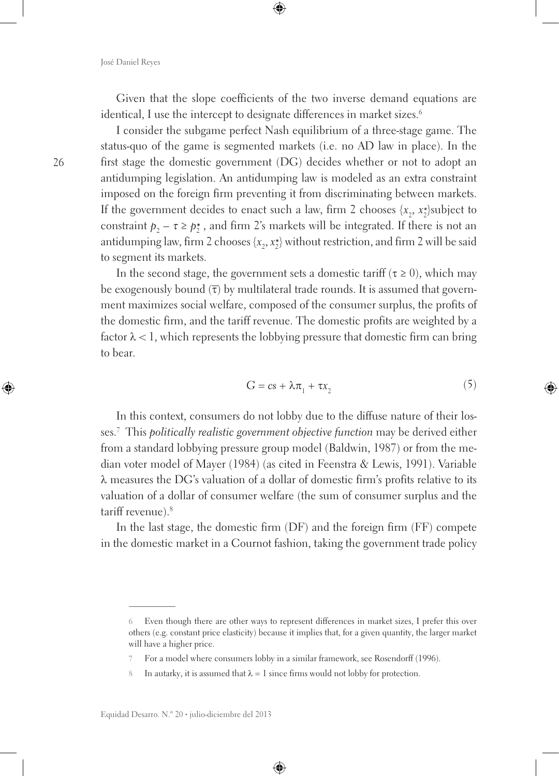Given that the slope coefficients of the two inverse demand equations are identical, I use the intercept to designate differences in market sizes.<sup>6</sup>

I consider the subgame perfect Nash equilibrium of a three-stage game. The status-quo of the game is segmented markets (i.e. no AD law in place). In the first stage the domestic government (DG) decides whether or not to adopt an antidumping legislation. An antidumping law is modeled as an extra constraint imposed on the foreign firm preventing it from discriminating between markets. If the government decides to enact such a law, firm 2 chooses  $\{x_2, x_2^*\}$ subject to constraint  $p_2 - \tau \ge p_2^*$ , and firm 2's markets will be integrated. If there is not an antidumping law, firm 2 chooses  $\{x_2, x_2^*\}$  without restriction, and firm 2 will be said to segment its markets.

In the second stage, the government sets a domestic tariff ( $\tau \ge 0$ ), which may be exogenously bound  $(\bar{\tau})$  by multilateral trade rounds. It is assumed that government maximizes social welfare, composed of the consumer surplus, the profits of the domestic firm, and the tariff revenue. The domestic profits are weighted by a factor  $\lambda < 1$ , which represents the lobbying pressure that domestic firm can bring to bear.

$$
G = cs + \lambda \pi_1 + \tau x_2 \tag{5}
$$

In this context, consumers do not lobby due to the diffuse nature of their losses.7 This *politically realistic government objective function* may be derived either from a standard lobbying pressure group model (Baldwin, 1987) or from the median voter model of Mayer (1984) (as cited in Feenstra & Lewis, 1991). Variable λ measures the DG's valuation of a dollar of domestic firm's profits relative to its valuation of a dollar of consumer welfare (the sum of consumer surplus and the tariff revenue).<sup>8</sup>

In the last stage, the domestic firm (DF) and the foreign firm (FF) compete in the domestic market in a Cournot fashion, taking the government trade policy

**<sup>6</sup>** Even though there are other ways to represent differences in market sizes, I prefer this over others (e.g. constant price elasticity) because it implies that, for a given quantity, the larger market will have a higher price.

**<sup>7</sup>** For a model where consumers lobby in a similar framework, see Rosendorff (1996).

<sup>8</sup> In autarky, it is assumed that  $\lambda = 1$  since firms would not lobby for protection.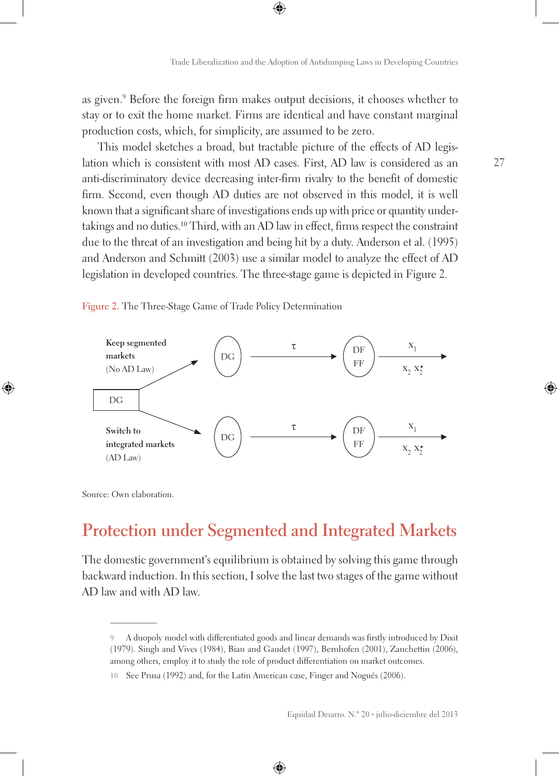as given.9 Before the foreign firm makes output decisions, it chooses whether to stay or to exit the home market. Firms are identical and have constant marginal production costs, which, for simplicity, are assumed to be zero.

This model sketches a broad, but tractable picture of the effects of AD legislation which is consistent with most AD cases. First, AD law is considered as an anti-discriminatory device decreasing inter-firm rivalry to the benefit of domestic firm. Second, even though AD duties are not observed in this model, it is well known that a significant share of investigations ends up with price or quantity undertakings and no duties.10 Third, with an AD law in effect, firms respect the constraint due to the threat of an investigation and being hit by a duty. Anderson et al. (1995) and Anderson and Schmitt (2003) use a similar model to analyze the effect of AD legislation in developed countries. The three-stage game is depicted in Figure 2.

**Figure 2.** The Three-Stage Game of Trade Policy Determination



Source: Own elaboration.

## **Protection under Segmented and Integrated Markets**

The domestic government's equilibrium is obtained by solving this game through backward induction. In this section, I solve the last two stages of the game without AD law and with AD law.

**<sup>9</sup>** A duopoly model with differentiated goods and linear demands was firstly introduced by Dixit (1979). Singh and Vives (1984), Bian and Gaudet (1997), Bernhofen (2001), Zanchettin (2006), among others, employ it to study the role of product differentiation on market outcomes.

**<sup>10</sup>** See Prusa (1992) and, for the Latin American case, Finger and Nogués (2006).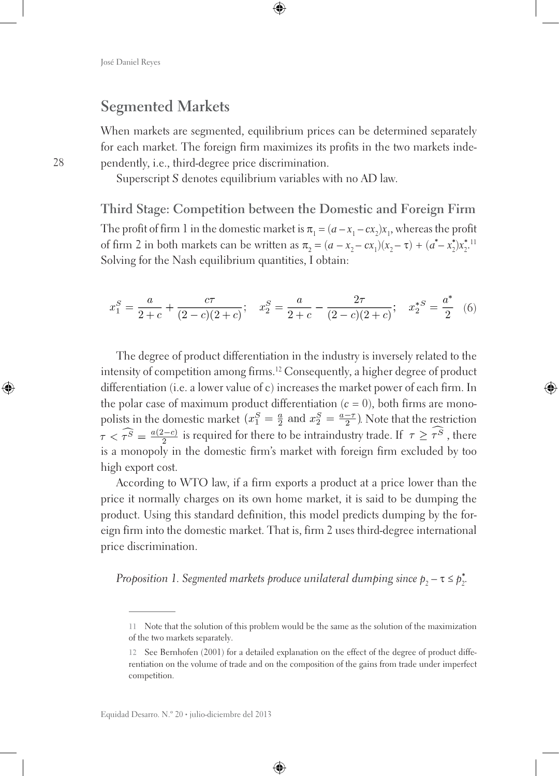### **Segmented Markets**

When markets are segmented, equilibrium prices can be determined separately for each market. The foreign firm maximizes its profits in the two markets independently, i.e., third-degree price discrimination.

Superscript *S* denotes equilibrium variables with no AD law.

**Third Stage: Competition between the Domestic and Foreign Firm** The profit of firm 1 in the domestic market is  $\pi_1 = (a - x_1 - cx_2)x_1$ , whereas the profit of firm 2 in both markets can be written as  $\pi_2 = (a - x_2 - cx_1)(x_2 - \tau) + (a^* - x_2^*)x_2^{*!}$ Solving for the Nash equilibrium quantities, I obtain:

$$
x_1^S = \frac{a}{2+c} + \frac{c\tau}{(2-c)(2+c)}; \quad x_2^S = \frac{a}{2+c} - \frac{2\tau}{(2-c)(2+c)}; \quad x_2^{*S} = \frac{a^*}{2} \quad (6)
$$

The degree of product differentiation in the industry is inversely related to the intensity of competition among firms.12 Consequently, a higher degree of product differentiation (i.e. a lower value of c) increases the market power of each firm. In the polar case of maximum product differentiation  $(c = 0)$ , both firms are monopolists in the domestic market  $\left(x_1^S = \frac{a}{2} \text{ and } x_2^S = \frac{a-\tau}{2}\right)$ . Note that the restriction  $\tau < \widehat{\tau}^S = \frac{a(2-c)}{2}$  is required for there to be intraindustry trade. If  $\tau \geq \widehat{\tau}^S$ , there is a monopoly in the domestic firm's market with foreign firm excluded by too high export cost.

According to WTO law, if a firm exports a product at a price lower than the price it normally charges on its own home market, it is said to be dumping the product. Using this standard definition, this model predicts dumping by the foreign firm into the domestic market. That is, firm 2 uses third-degree international price discrimination.

*Proposition 1. Segmented markets produce unilateral dumping since*  $p_{2}$  *– τ ≤*  $p_{2}^{*}$ *.* 

**<sup>11</sup>** Note that the solution of this problem would be the same as the solution of the maximization of the two markets separately.

**<sup>12</sup>** See Bernhofen (2001) for a detailed explanation on the effect of the degree of product differentiation on the volume of trade and on the composition of the gains from trade under imperfect competition.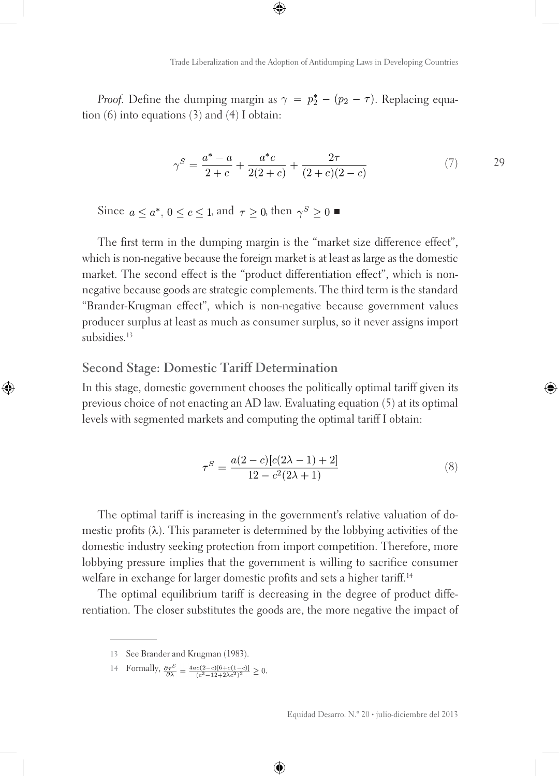*Proof.* Define the dumping margin as  $\gamma = p_2^* - (p_2 - \tau)$ . Replacing equation (6) into equations (3) and (4) I obtain:

$$
\gamma^S = \frac{a^* - a}{2 + c} + \frac{a^*c}{2(2 + c)} + \frac{2\tau}{(2 + c)(2 - c)}
$$
(7) 29

Since  $a \leq a^*$ ,  $0 \leq c \leq 1$ , and  $\tau \geq 0$ , then  $\gamma^S \geq 0$ 

The first term in the dumping margin is the "market size difference effect", which is non-negative because the foreign market is at least as large as the domestic market. The second effect is the "product differentiation effect", which is nonnegative because goods are strategic complements. The third term is the standard "Brander-Krugman effect", which is non-negative because government values producer surplus at least as much as consumer surplus, so it never assigns import subsidies.<sup>13</sup>

#### **Second Stage: Domestic Tariff Determination**

In this stage, domestic government chooses the politically optimal tariff given its previous choice of not enacting an AD law. Evaluating equation (5) at its optimal levels with segmented markets and computing the optimal tariff I obtain:

$$
\tau^{S} = \frac{a(2-c)[c(2\lambda - 1) + 2]}{12 - c^{2}(2\lambda + 1)}
$$
\n(8)

The optimal tariff is increasing in the government's relative valuation of domestic profits  $(\lambda)$ . This parameter is determined by the lobbying activities of the domestic industry seeking protection from import competition. Therefore, more lobbying pressure implies that the government is willing to sacrifice consumer welfare in exchange for larger domestic profits and sets a higher tariff.<sup>14</sup>

The optimal equilibrium tariff is decreasing in the degree of product differentiation. The closer substitutes the goods are, the more negative the impact of

14 Formally,  $\frac{\partial \tau^S}{\partial \lambda} = \frac{4ac(2-c)[6+c(1-c)]}{(c^2-12+2\lambda c^2)^2} \ge 0.$ 

**<sup>13</sup>** See Brander and Krugman (1983).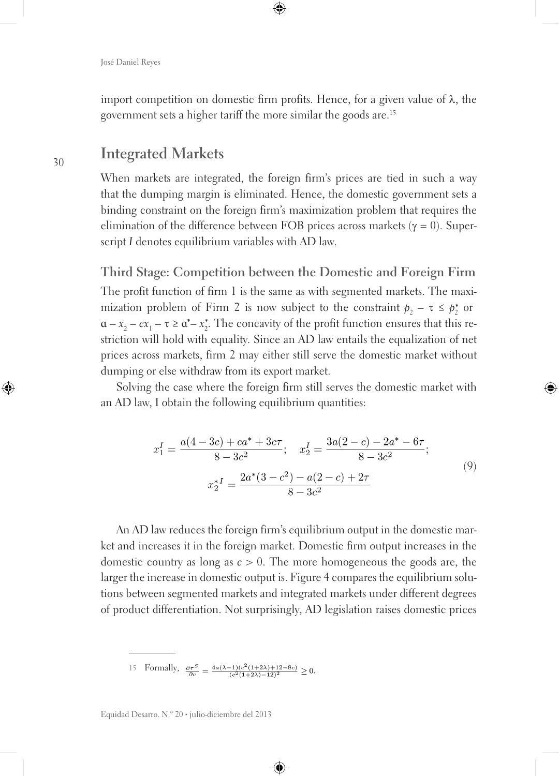import competition on domestic firm profits. Hence, for a given value of λ, the government sets a higher tariff the more similar the goods are.15

### **Integrated Markets**

When markets are integrated, the foreign firm's prices are tied in such a way that the dumping margin is eliminated. Hence, the domestic government sets a binding constraint on the foreign firm's maximization problem that requires the elimination of the difference between FOB prices across markets ( $\gamma = 0$ ). Superscript *I* denotes equilibrium variables with AD law.

**Third Stage: Competition between the Domestic and Foreign Firm** The profit function of firm 1 is the same as with segmented markets. The maximization problem of Firm 2 is now subject to the constraint  $p_2 - \tau \leq p_2^*$  or  $a - x_2 - cx_1 - \tau \ge a^* - x_2^*$ . The concavity of the profit function ensures that this restriction will hold with equality. Since an AD law entails the equalization of net prices across markets, firm 2 may either still serve the domestic market without dumping or else withdraw from its export market.

Solving the case where the foreign firm still serves the domestic market with an AD law, I obtain the following equilibrium quantities:

$$
x_1^I = \frac{a(4-3c) + ca^* + 3c\tau}{8 - 3c^2}; \quad x_2^I = \frac{3a(2-c) - 2a^* - 6\tau}{8 - 3c^2};
$$
  

$$
x_2^* I = \frac{2a^*(3-c^2) - a(2-c) + 2\tau}{8 - 3c^2}
$$
 (9)

An AD law reduces the foreign firm's equilibrium output in the domestic market and increases it in the foreign market. Domestic firm output increases in the domestic country as long as *c* > 0. The more homogeneous the goods are, the larger the increase in domestic output is. Figure 4 compares the equilibrium solutions between segmented markets and integrated markets under different degrees of product differentiation. Not surprisingly, AD legislation raises domestic prices

15 Formally,  $\frac{\partial \tau^S}{\partial c} = \frac{4a(\lambda - 1)(c^2(1 + 2\lambda) + 12 - 8c)}{(c^2(1 + 2\lambda) - 12)^2} \ge 0.$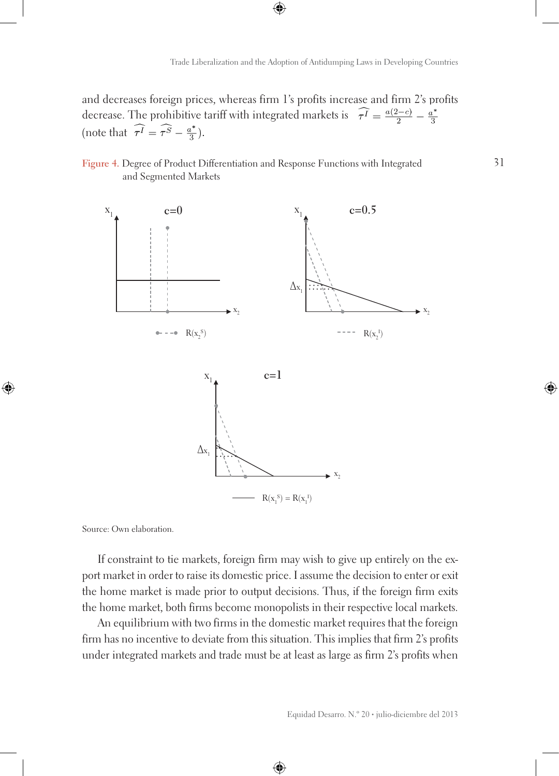and decreases foreign prices, whereas firm 1's profits increase and firm 2's profits decrease. The prohibitive tariff with integrated markets is  $\widehat{\tau} = \frac{a(2-c)}{2} - \frac{a^*}{3}$ (note that  $\widehat{\tau^I} = \widehat{\tau^S} - \frac{a^*}{3}$ ).

#### **Figure 4.** Degree of Product Differentiation and Response Functions with Integrated and Segmented Markets



Source: Own elaboration.

If constraint to tie markets, foreign firm may wish to give up entirely on the export market in order to raise its domestic price. I assume the decision to enter or exit the home market is made prior to output decisions. Thus, if the foreign firm exits the home market, both firms become monopolists in their respective local markets.

An equilibrium with two firms in the domestic market requires that the foreign firm has no incentive to deviate from this situation. This implies that firm 2's profits under integrated markets and trade must be at least as large as firm 2's profits when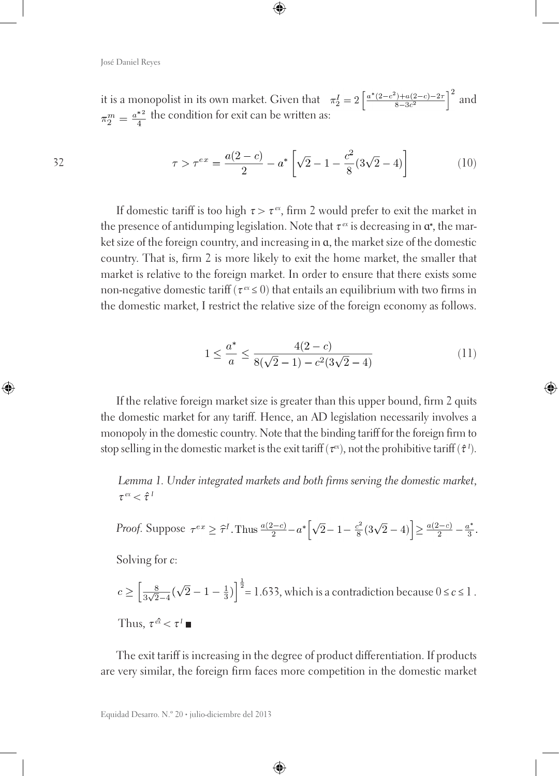32

it is a monopolist in its own market. Given that  $\pi_2^I = 2 \left[ \frac{a^*(2-c^2) + a(2-c) - 2\tau}{8-3c^2} \right]^2$  and  $\pi_2^m = \frac{a^{*2}}{4}$  the condition for exit can be written as:

$$
\tau > \tau^{ex} = \frac{a(2-c)}{2} - a^* \left[ \sqrt{2} - 1 - \frac{c^2}{8} (3\sqrt{2} - 4) \right]
$$
 (10)

If domestic tariff is too high  $\tau > \tau^{ex}$ , firm 2 would prefer to exit the market in the presence of antidumping legislation. Note that  $\tau^{\alpha}$  is decreasing in  $\alpha^*$ , the market size of the foreign country, and increasing in ɑ, the market size of the domestic country. That is, firm 2 is more likely to exit the home market, the smaller that market is relative to the foreign market. In order to ensure that there exists some non-negative domestic tariff (τ*ex ≤* 0) that entails an equilibrium with two firms in the domestic market, I restrict the relative size of the foreign economy as follows.

$$
1 \le \frac{a^*}{a} \le \frac{4(2-c)}{8(\sqrt{2}-1) - c^2(3\sqrt{2}-4)}\tag{11}
$$

If the relative foreign market size is greater than this upper bound, firm 2 quits the domestic market for any tariff. Hence, an AD legislation necessarily involves a monopoly in the domestic country. Note that the binding tariff for the foreign firm to stop selling in the domestic market is the exit tariff ( $\tau^{ex}$ ), not the prohibitive tariff ( $\hat{\tau}^{\,I}$ ).

*Lemma 1. Under integrated markets and both firms serving the domestic market*, <sup>τ</sup>*ex <* <sup>τ</sup>*<sup>I</sup>*

*Proof.* Suppose 
$$
\tau^{ex} \ge \hat{\tau}^I
$$
. Thus  $\frac{a(2-c)}{2} - a^* \left[ \sqrt{2} - 1 - \frac{c^2}{8} (3\sqrt{2} - 4) \right] \ge \frac{a(2-c)}{2} - \frac{a^*}{3}$ .

Solving for *c*:

$$
c \ge \left[\frac{8}{3\sqrt{2}-4}(\sqrt{2}-1-\frac{1}{3})\right]^{\frac{1}{2}} = 1.633
$$
, which is a contradiction because  $0 \le c \le 1$ .  
Thus,  $\tau^{\hat{\alpha}} < \tau^1 \blacksquare$ 

The exit tariff is increasing in the degree of product differentiation. If products are very similar, the foreign firm faces more competition in the domestic market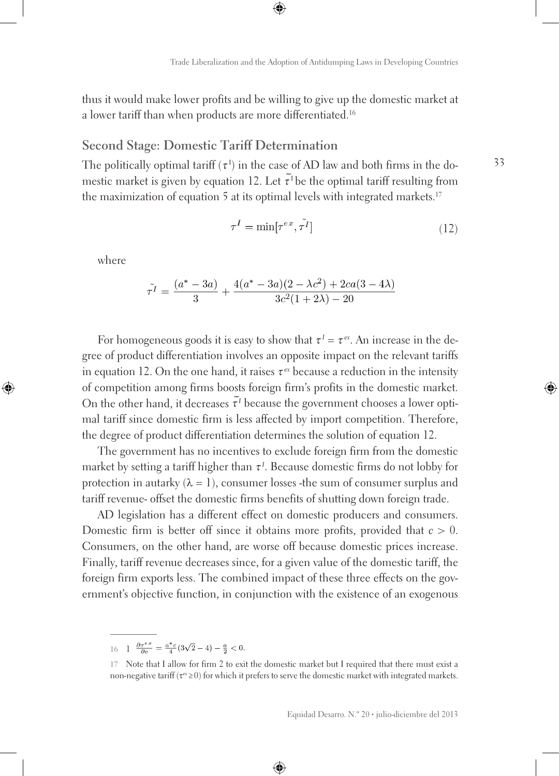thus it would make lower profits and be willing to give up the domestic market at a lower tariff than when products are more differentiated.<sup>16</sup>

### **Second Stage: Domestic Tariff Determination**

The politically optimal tariff ( $\tau$ <sup>I</sup>) in the case of AD law and both firms in the domestic market is given by equation 12. Let  $\tilde{\tau}^{\text{I}}$  be the optimal tariff resulting from the maximization of equation 5 at its optimal levels with integrated markets.<sup>17</sup>

$$
\tau^I = \min[\tau^{ex}, \tilde{\tau^I}] \tag{12}
$$

where

$$
\tilde{\tau^I} = \frac{(a^* - 3a)}{3} + \frac{4(a^* - 3a)(2 - \lambda c^2) + 2ca(3 - 4\lambda)}{3c^2(1 + 2\lambda) - 20}
$$

For homogeneous goods it is easy to show that  $\tau^I = \tau^{ex}$ . An increase in the degree of product differentiation involves an opposite impact on the relevant tariffs in equation 12. On the one hand, it raises  $\tau^{ex}$  because a reduction in the intensity of competition among firms boosts foreign firm's profits in the domestic market. On the other hand, it decreases  $\tilde{\tau}$ <sup>*I*</sup> because the government chooses a lower optimal tariff since domestic firm is less affected by import competition. Therefore, the degree of product differentiation determines the solution of equation 12.

The government has no incentives to exclude foreign firm from the domestic market by setting a tariff higher than τ*<sup>I</sup>* . Because domestic firms do not lobby for protection in autarky ( $\lambda = 1$ ), consumer losses -the sum of consumer surplus and tariff revenue- offset the domestic firms benefits of shutting down foreign trade.

AD legislation has a different effect on domestic producers and consumers. Domestic firm is better off since it obtains more profits, provided that *c* > 0. Consumers, on the other hand, are worse off because domestic prices increase. Finally, tariff revenue decreases since, for a given value of the domestic tariff, the foreign firm exports less. The combined impact of these three effects on the government's objective function, in conjunction with the existence of an exogenous

<sup>16 1</sup>  $\frac{\partial \tau^{ex}}{\partial c} = \frac{a^*c}{4}(3\sqrt{2} - 4) - \frac{a}{2} < 0.$ 

**<sup>17</sup>** Note that I allow for firm 2 to exit the domestic market but I required that there must exist a non-negative tariff (τ*ex ≥*0) for which it prefers to serve the domestic market with integrated markets.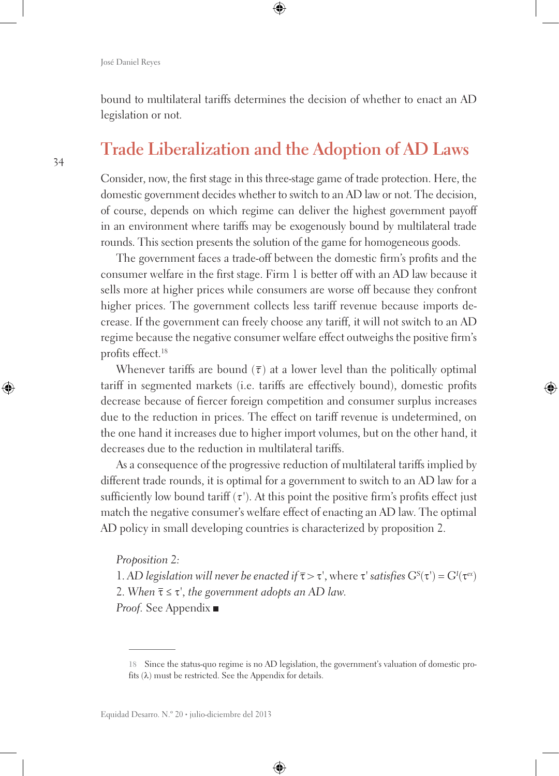bound to multilateral tariffs determines the decision of whether to enact an AD legislation or not.

## **Trade Liberalization and the Adoption of AD Laws**

Consider, now, the first stage in this three-stage game of trade protection. Here, the domestic government decides whether to switch to an AD law or not. The decision, of course, depends on which regime can deliver the highest government payoff in an environment where tariffs may be exogenously bound by multilateral trade rounds. This section presents the solution of the game for homogeneous goods.

The government faces a trade-off between the domestic firm's profits and the consumer welfare in the first stage. Firm 1 is better off with an AD law because it sells more at higher prices while consumers are worse off because they confront higher prices. The government collects less tariff revenue because imports decrease. If the government can freely choose any tariff, it will not switch to an AD regime because the negative consumer welfare effect outweighs the positive firm's profits effect.18

Whenever tariffs are bound  $(\bar{\tau})$  at a lower level than the politically optimal tariff in segmented markets (i.e. tariffs are effectively bound), domestic profits decrease because of fiercer foreign competition and consumer surplus increases due to the reduction in prices. The effect on tariff revenue is undetermined, on the one hand it increases due to higher import volumes, but on the other hand, it decreases due to the reduction in multilateral tariffs.

As a consequence of the progressive reduction of multilateral tariffs implied by different trade rounds, it is optimal for a government to switch to an AD law for a sufficiently low bound tariff  $(\tau')$ . At this point the positive firm's profits effect just match the negative consumer's welfare effect of enacting an AD law. The optimal AD policy in small developing countries is characterized by proposition 2.

*Proposition 2:*

1. *AD legislation will never be enacted if*  $\bar{\tau} > \tau'$ , where  $\tau'$  *satisfies*  $G^{S}(\tau') = G^{I}(\tau^{ex})$ 2. When  $\bar{\tau} \leq \tau'$ , the government adopts an AD law.

*Proof.* See Appendix

**<sup>18</sup>** Since the status-quo regime is no AD legislation, the government's valuation of domestic profits  $(\lambda)$  must be restricted. See the Appendix for details.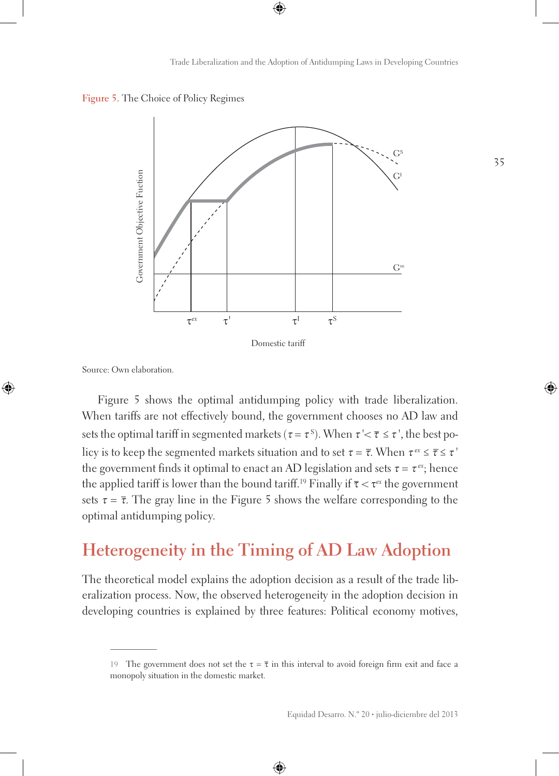



Source: Own elaboration.

Figure 5 shows the optimal antidumping policy with trade liberalization. When tariffs are not effectively bound, the government chooses no AD law and sets the optimal tariff in segmented markets ( $\tau$  =  $\tau$ <sup>s</sup>). When  $\tau$  '<  $\overline{\tau}$  ≤  $\tau$  ', the best policy is to keep the segmented markets situation and to set  $\tau = \overline{\tau}$ . When  $\tau^{ex} \leq \overline{\tau} \leq \tau'$ the government finds it optimal to enact an AD legislation and sets  $\tau = \tau^{ex}$ ; hence the applied tariff is lower than the bound tariff.<sup>19</sup> Finally if  $\bar{\tau} < \tau^{ex}$  the government sets  $\tau = \overline{\tau}$ . The gray line in the Figure 5 shows the welfare corresponding to the optimal antidumping policy.

## **Heterogeneity in the Timing of AD Law Adoption**

The theoretical model explains the adoption decision as a result of the trade liberalization process. Now, the observed heterogeneity in the adoption decision in developing countries is explained by three features: Political economy motives,

<sup>19</sup> The government does not set the  $\tau = \overline{\tau}$  in this interval to avoid foreign firm exit and face a monopoly situation in the domestic market.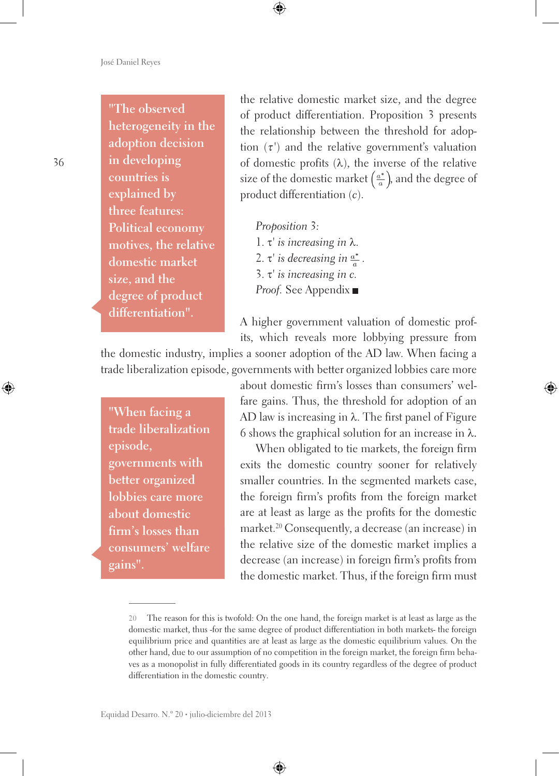### **"The observed heterogeneity in the**

**adoption decision in developing countries is explained by three features: Political economy motives, the relative domestic market size, and the degree of product differentiation".**

the relative domestic market size, and the degree of product differentiation. Proposition 3 presents the relationship between the threshold for adoption  $(\tau)$  and the relative government's valuation of domestic profits  $(\lambda)$ , the inverse of the relative size of the domestic market  $\left(\frac{a^*}{a}\right)$ , and the degree of product differentiation (*c*).

*Proposition 3:* 1. τ*' is increasing in* λ. 2. τ' is decreasing in  $\frac{a^*}{a}$ . 3. τ*' is increasing in c. Proof.* See Appendix

A higher government valuation of domestic profits, which reveals more lobbying pressure from

the domestic industry, implies a sooner adoption of the AD law. When facing a trade liberalization episode, governments with better organized lobbies care more

**"When facing a trade liberalization episode, governments with better organized lobbies care more about domestic firm's losses than consumers' welfare gains".**

about domestic firm's losses than consumers' welfare gains. Thus, the threshold for adoption of an AD law is increasing in  $\lambda$ . The first panel of Figure 6 shows the graphical solution for an increase in  $\lambda$ .

When obligated to tie markets, the foreign firm exits the domestic country sooner for relatively smaller countries. In the segmented markets case, the foreign firm's profits from the foreign market are at least as large as the profits for the domestic market.<sup>20</sup> Consequently, a decrease (an increase) in the relative size of the domestic market implies a decrease (an increase) in foreign firm's profits from the domestic market. Thus, if the foreign firm must

**<sup>20</sup>** The reason for this is twofold: On the one hand, the foreign market is at least as large as the domestic market, thus -for the same degree of product differentiation in both markets- the foreign equilibrium price and quantities are at least as large as the domestic equilibrium values. On the other hand, due to our assumption of no competition in the foreign market, the foreign firm behaves as a monopolist in fully differentiated goods in its country regardless of the degree of product differentiation in the domestic country.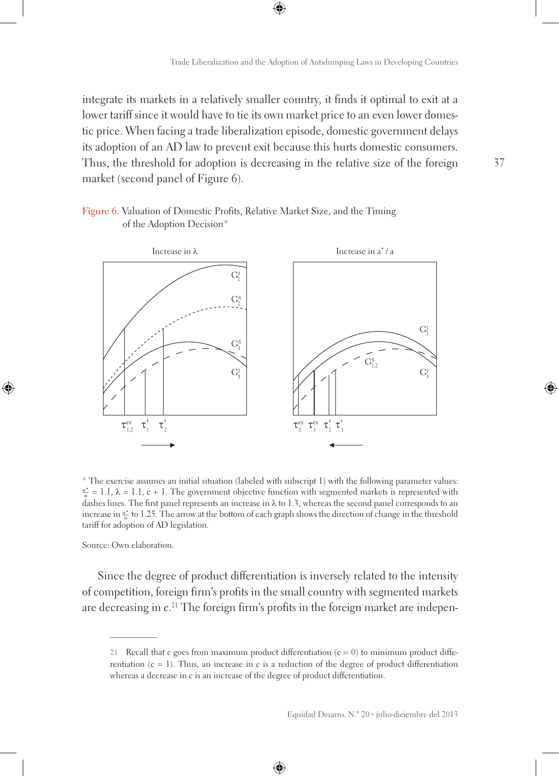integrate its markets in a relatively smaller country, it finds it optimal to exit at a lower tariff since it would have to tie its own market price to an even lower domestic price. When facing a trade liberalization episode, domestic government delays its adoption of an AD law to prevent exit because this hurts domestic consumers. Thus, the threshold for adoption is decreasing in the relative size of the foreign market (second panel of Figure 6).





\* The exercise assumes an initial situation (labeled with subscript 1) with the following parameter values:  $\frac{a^*}{b} = 1.1$ ,  $\lambda = 1.1$ ,  $c + 1$ . The government objective function with segmented markets is represented with dashes lines. The first panel represents an increase in  $\lambda$  to 1.3, whereas the second panel corresponds to an increase in  $\frac{a^*}{a}$  to 1.25. The arrow at the bottom of each graph shows the direction of change in the threshold tariff for adoption of AD legislation.

Source: Own elaboration.

Since the degree of product differentiation is inversely related to the intensity of competition, foreign firm's profits in the small country with segmented markets are decreasing in *c*. 21 The foreign firm's profits in the foreign market are indepen-

**<sup>21</sup>** Recall that *c* goes from maximum product differentiation (*c* = 0) to minimum product differentiation  $(c = 1)$ . Thus, an increase in *c* is a reduction of the degree of product differentiation whereas a decrease in *c* is an increase of the degree of product differentiation.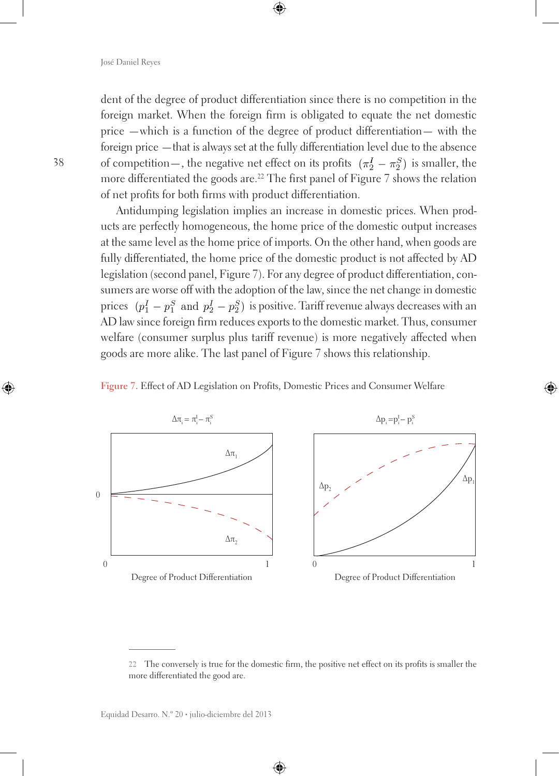dent of the degree of product differentiation since there is no competition in the foreign market. When the foreign firm is obligated to equate the net domestic price —which is a function of the degree of product differentiation— with the foreign price —that is always set at the fully differentiation level due to the absence of competition—, the negative net effect on its profits  $(\pi_2^I - \pi_2^S)$  is smaller, the more differentiated the goods are.<sup>22</sup> The first panel of Figure 7 shows the relation of net profits for both firms with product differentiation.

Antidumping legislation implies an increase in domestic prices. When products are perfectly homogeneous, the home price of the domestic output increases at the same level as the home price of imports. On the other hand, when goods are fully differentiated, the home price of the domestic product is not affected by AD legislation (second panel, Figure 7). For any degree of product differentiation, consumers are worse off with the adoption of the law, since the net change in domestic prices  $(p_1^I - p_1^S$  and  $p_2^I - p_2^S$  is positive. Tariff revenue always decreases with an AD law since foreign firm reduces exports to the domestic market. Thus, consumer welfare (consumer surplus plus tariff revenue) is more negatively affected when goods are more alike. The last panel of Figure 7 shows this relationship.





**<sup>22</sup>** The conversely is true for the domestic firm, the positive net effect on its profits is smaller the more differentiated the good are.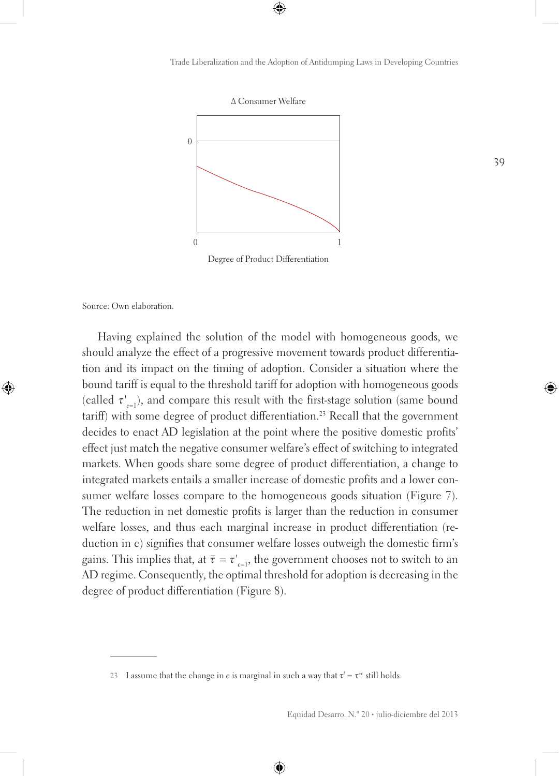

Source: Own elaboration.

Having explained the solution of the model with homogeneous goods, we should analyze the effect of a progressive movement towards product differentiation and its impact on the timing of adoption. Consider a situation where the bound tariff is equal to the threshold tariff for adoption with homogeneous goods (called τ*' <sup>c</sup>*=1), and compare this result with the first-stage solution (same bound tariff) with some degree of product differentiation.<sup>23</sup> Recall that the government decides to enact AD legislation at the point where the positive domestic profits' effect just match the negative consumer welfare's effect of switching to integrated markets. When goods share some degree of product differentiation, a change to integrated markets entails a smaller increase of domestic profits and a lower consumer welfare losses compare to the homogeneous goods situation (Figure 7). The reduction in net domestic profits is larger than the reduction in consumer welfare losses, and thus each marginal increase in product differentiation (reduction in c) signifies that consumer welfare losses outweigh the domestic firm's gains. This implies that, at  $\bar{\tau} = \tau'_{c=1}$ , the government chooses not to switch to an AD regime. Consequently, the optimal threshold for adoption is decreasing in the degree of product differentiation (Figure 8).

**<sup>23</sup>** I assume that the change in *c* is marginal in such a way that  $\tau^I = \tau^e$  still holds.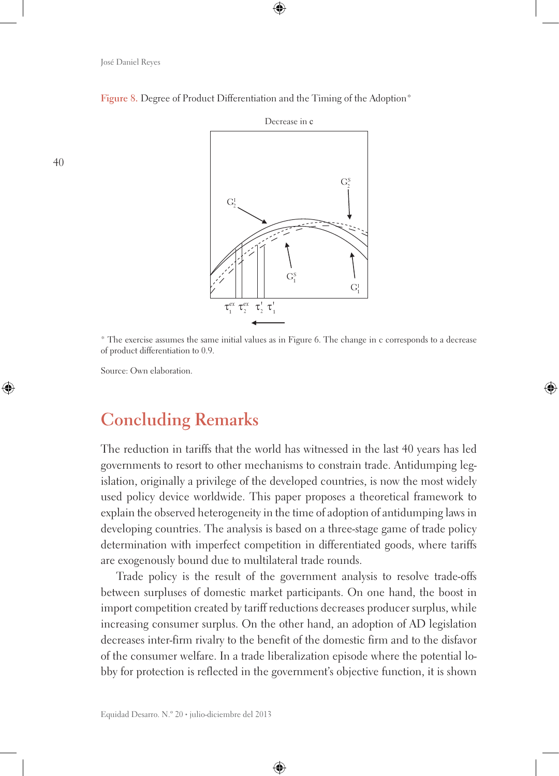

Figure 8. Degree of Product Differentiation and the Timing of the Adoption<sup>\*</sup>

\* The exercise assumes the same initial values as in Figure 6. The change in c corresponds to a decrease of product differentiation to 0.9.

Source: Own elaboration.

## **Concluding Remarks**

The reduction in tariffs that the world has witnessed in the last 40 years has led governments to resort to other mechanisms to constrain trade. Antidumping legislation, originally a privilege of the developed countries, is now the most widely used policy device worldwide. This paper proposes a theoretical framework to explain the observed heterogeneity in the time of adoption of antidumping laws in developing countries. The analysis is based on a three-stage game of trade policy determination with imperfect competition in differentiated goods, where tariffs are exogenously bound due to multilateral trade rounds.

Trade policy is the result of the government analysis to resolve trade-offs between surpluses of domestic market participants. On one hand, the boost in import competition created by tariff reductions decreases producer surplus, while increasing consumer surplus. On the other hand, an adoption of AD legislation decreases inter-firm rivalry to the benefit of the domestic firm and to the disfavor of the consumer welfare. In a trade liberalization episode where the potential lobby for protection is reflected in the government's objective function, it is shown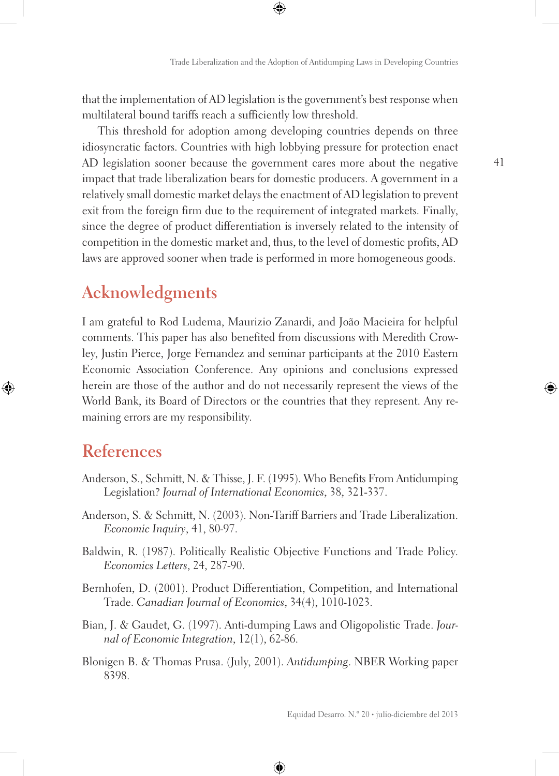that the implementation of AD legislation is the government's best response when multilateral bound tariffs reach a sufficiently low threshold.

This threshold for adoption among developing countries depends on three idiosyncratic factors. Countries with high lobbying pressure for protection enact AD legislation sooner because the government cares more about the negative impact that trade liberalization bears for domestic producers. A government in a relatively small domestic market delays the enactment of AD legislation to prevent exit from the foreign firm due to the requirement of integrated markets. Finally, since the degree of product differentiation is inversely related to the intensity of competition in the domestic market and, thus, to the level of domestic profits, AD laws are approved sooner when trade is performed in more homogeneous goods.

## **Acknowledgments**

I am grateful to Rod Ludema, Maurizio Zanardi, and João Macieira for helpful comments. This paper has also benefited from discussions with Meredith Crowley, Justin Pierce, Jorge Fernandez and seminar participants at the 2010 Eastern Economic Association Conference. Any opinions and conclusions expressed herein are those of the author and do not necessarily represent the views of the World Bank, its Board of Directors or the countries that they represent. Any remaining errors are my responsibility.

## **References**

- Anderson, S., Schmitt, N. & Thisse, J. F. (1995). Who Benefits From Antidumping Legislation? *Journal of International Economics*, 38, 321-337.
- Anderson, S. & Schmitt, N. (2003). Non-Tariff Barriers and Trade Liberalization. *Economic Inquiry*, 41, 80-97.
- Baldwin, R. (1987). Politically Realistic Objective Functions and Trade Policy. *Economics Letters*, 24, 287-90.
- Bernhofen, D. (2001). Product Differentiation, Competition, and International Trade. *Canadian Journal of Economics*, 34(4), 1010-1023.
- Bian, J. & Gaudet, G. (1997). Anti-dumping Laws and Oligopolistic Trade. *Journal of Economic Integration*, 12(1), 62-86.
- Blonigen B. & Thomas Prusa. (July, 2001). *Antidumping*. NBER Working paper 8398.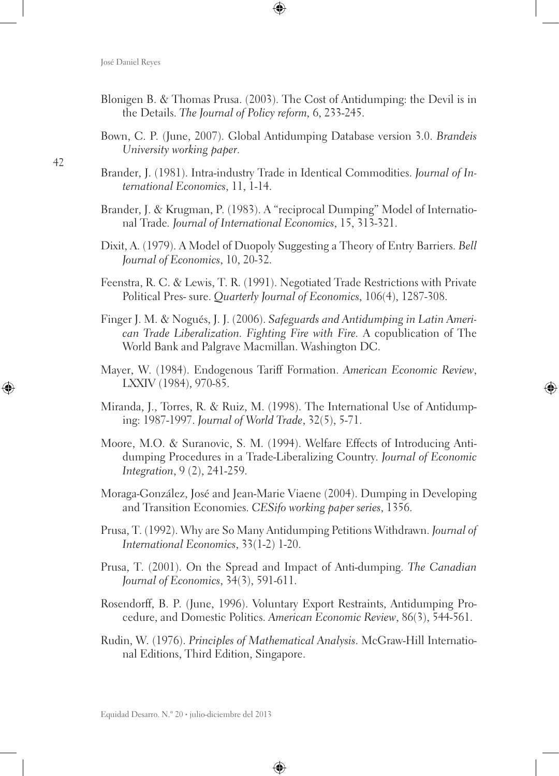- Blonigen B. & Thomas Prusa. (2003). The Cost of Antidumping: the Devil is in the Details. *The Journal of Policy reform,* 6, 233-245.
- Bown, C. P. (June, 2007). Global Antidumping Database version 3.0. *Brandeis University working paper*.
- Brander, J. (1981). Intra-industry Trade in Identical Commodities. *Journal of International Economics*, 11, 1-14.
- Brander, J. & Krugman, P. (1983). A "reciprocal Dumping" Model of International Trade*. Journal of International Economics*, 15, 313-321.
- Dixit, A. (1979). A Model of Duopoly Suggesting a Theory of Entry Barriers. *Bell Journal of Economics*, 10, 20-32.
- Feenstra, R. C. & Lewis, T. R. (1991). Negotiated Trade Restrictions with Private Political Pres- sure. *Quarterly Journal of Economics*, 106(4), 1287-308.
- Finger J. M. & Nogués, J. J. (2006). *Safeguards and Antidumping in Latin American Trade Liberalization. Fighting Fire with Fire.* A copublication of The World Bank and Palgrave Macmillan. Washington DC.
- Mayer, W. (1984). Endogenous Tariff Formation. *American Economic Review*, LXXIV (1984), 970-85.
- Miranda, J., Torres, R. & Ruiz, M. (1998). The International Use of Antidumping: 1987-1997. *Journal of World Trade*, 32(5), 5-71.
- Moore, M.O. & Suranovic, S. M. (1994). Welfare Effects of Introducing Antidumping Procedures in a Trade-Liberalizing Country. *Journal of Economic Integration*, 9 (2), 241-259.
- Moraga-González, José and Jean-Marie Viaene (2004). Dumping in Developing and Transition Economies. *CESifo working paper series*, 1356.
- Prusa, T. (1992). Why are So Many Antidumping Petitions Withdrawn. *Journal of International Economics*, 33(1-2) 1-20.
- Prusa, T. (2001). On the Spread and Impact of Anti-dumping. *The Canadian Journal of Economics*, 34(3), 591-611.
- Rosendorff, B. P. (June, 1996). Voluntary Export Restraints, Antidumping Procedure, and Domestic Politics. *American Economic Review*, 86(3), 544-561.
- Rudin, W. (1976). *Principles of Mathematical Analysis*. McGraw-Hill International Editions, Third Edition, Singapore.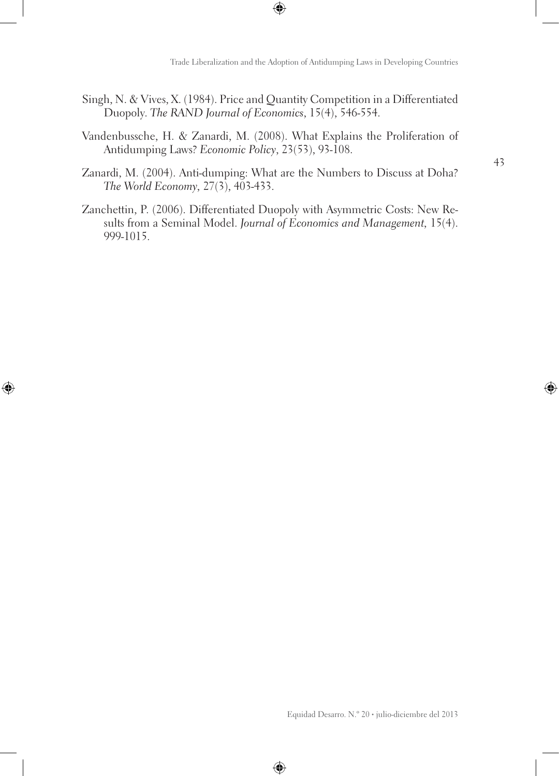- Singh, N. & Vives, X. (1984). Price and Quantity Competition in a Differentiated Duopoly. *The RAND Journal of Economics*, 15(4), 546-554.
- Vandenbussche, H. & Zanardi, M. (2008). What Explains the Proliferation of Antidumping Laws? *Economic Policy*, 23(53), 93-108.
- Zanardi, M. (2004). Anti-dumping: What are the Numbers to Discuss at Doha? *The World Economy,* 27(3), 403-433.
- Zanchettin, P. (2006). Differentiated Duopoly with Asymmetric Costs: New Results from a Seminal Model. *Journal of Economics and Management,* 15(4). 999-1015.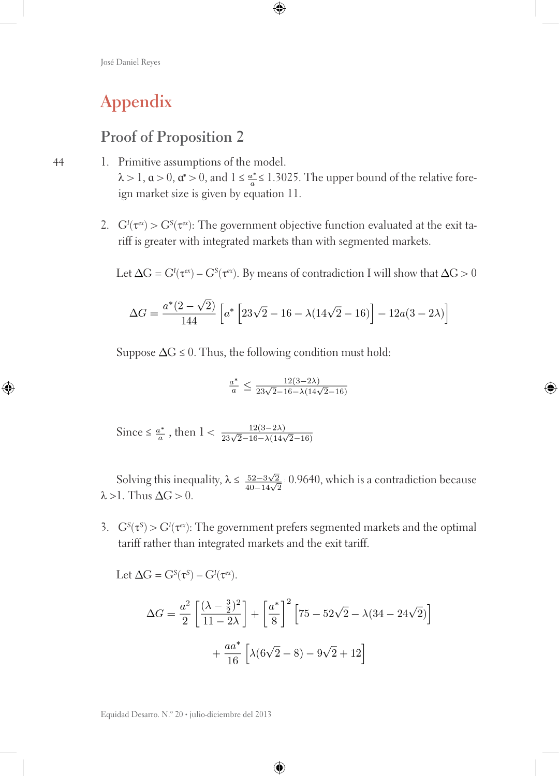# **Appendix**

44

### **Proof of Proposition 2**

- 1. Primitive assumptions of the model.  $\lambda > 1$ ,  $\alpha > 0$ ,  $\alpha^* > 0$ , and  $1 \leq \frac{\alpha^*}{\alpha} \leq 1.3025$ . The upper bound of the relative foreign market size is given by equation 11.
	- 2.  $G'(\tau^{\alpha}) > G^{s}(\tau^{\alpha})$ : The government objective function evaluated at the exit tariff is greater with integrated markets than with segmented markets.

Let  $\Delta G = G^{\text{I}}(\tau^{\text{ex}}) - G^{\text{S}}(\tau^{\text{ex}})$ . By means of contradiction I will show that  $\Delta G > 0$ 

$$
\Delta G = \frac{a^*(2-\sqrt{2})}{144} \left[ a^* \left[ 23\sqrt{2} - 16 - \lambda(14\sqrt{2} - 16) \right] - 12a(3-2\lambda) \right]
$$

Suppose  $\Delta G \leq 0$ . Thus, the following condition must hold:

$$
\frac{a^*}{a} \le \frac{12(3-2\lambda)}{23\sqrt{2}-16-\lambda(14\sqrt{2}-16)}
$$

Since  $\leq \frac{a^*}{a}$ , then  $1 < \frac{12(3-2\lambda)}{23\sqrt{2}-16-\lambda(14\sqrt{2}-16)}$ 

Solving this inequality,  $\lambda \leq \frac{52-3\sqrt{2}}{40-14\sqrt{2}}$  0.9640, which is a contradiction because  $\lambda > 1$ . Thus  $\Delta G > 0$ .

3.  $G^{s}(\tau^{s}) > G^{t}(\tau^{ex})$ : The government prefers segmented markets and the optimal tariff rather than integrated markets and the exit tariff.

Let 
$$
\Delta G = G^{s}(\tau^{s}) - G^{l}(\tau^{\alpha})
$$
.  
\n
$$
\Delta G = \frac{a^{2}}{2} \left[ \frac{(\lambda - \frac{3}{2})^{2}}{11 - 2\lambda} \right] + \left[ \frac{a^{*}}{8} \right]^{2} \left[ 75 - 52\sqrt{2} - \lambda(34 - 24\sqrt{2}) \right]
$$
\n
$$
+ \frac{aa^{*}}{16} \left[ \lambda(6\sqrt{2} - 8) - 9\sqrt{2} + 12 \right]
$$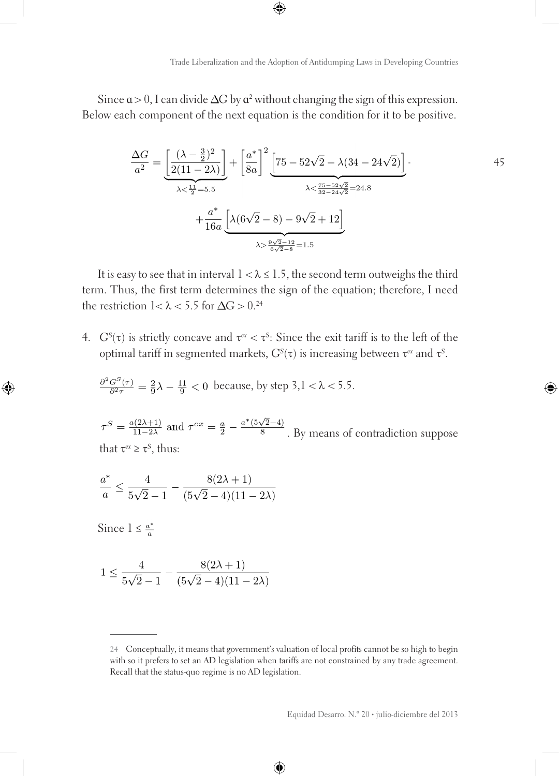Since  $a > 0$ , I can divide  $\Delta G$  by  $a^2$  without changing the sign of this expression. Below each component of the next equation is the condition for it to be positive.

$$
\frac{\Delta G}{a^2} = \underbrace{\left[\frac{(\lambda - \frac{3}{2})^2}{2(11 - 2\lambda)}\right]}_{\lambda < \frac{11}{2} = 5.5} + \underbrace{\frac{a^*}{8a}\right]^2 \underbrace{\left[75 - 52\sqrt{2} - \lambda(34 - 24\sqrt{2})\right]}_{\lambda < \frac{75 - 52\sqrt{2}}{32 - 24\sqrt{2}} = 24.8} + \frac{a^*}{16a} \underbrace{\left[\lambda(6\sqrt{2} - 8) - 9\sqrt{2} + 12\right]}_{\lambda > \frac{9\sqrt{2} - 12}{6\sqrt{2} - 8} = 1.5}
$$
\n(45)

It is easy to see that in interval  $1 < \lambda \leq 1.5$ , the second term outweighs the third term. Thus, the first term determines the sign of the equation; therefore, I need the restriction  $1 < \lambda < 5.5$  for  $\Delta G > 0.^{24}$ 

4.  $G^{S}(\tau)$  is strictly concave and  $\tau^{\epsilon x} < \tau^{S}$ : Since the exit tariff is to the left of the optimal tariff in segmented markets, *GS* (τ) is increasing between τ*ex* and τ*<sup>S</sup>* .

$$
\frac{\partial^2 G^S(\tau)}{\partial^2 \tau} = \frac{2}{9}\lambda - \frac{11}{9} < 0
$$
 because, by step 3,  $l < \lambda < 5.5$ .

 $\tau^S=\frac{a(2\lambda+1)}{11-2\lambda}$  and  $\tau^{ex}=\frac{a}{2}-\frac{a^*(5\sqrt{2}-4)}{8}$  . By means of contradiction suppose that  $\tau^{ex} \geq \tau^{S}$ , thus:

$$
\frac{a^*}{a} \le \frac{4}{5\sqrt{2}-1} - \frac{8(2\lambda+1)}{(5\sqrt{2}-4)(11-2\lambda)}
$$

Since  $1 \leq \frac{a^*}{a}$ 

$$
1 \le \frac{4}{5\sqrt{2}-1} - \frac{8(2\lambda+1)}{(5\sqrt{2}-4)(11-2\lambda)}
$$

**<sup>24</sup>** Conceptually, it means that government's valuation of local profits cannot be so high to begin with so it prefers to set an AD legislation when tariffs are not constrained by any trade agreement. Recall that the status-quo regime is no AD legislation.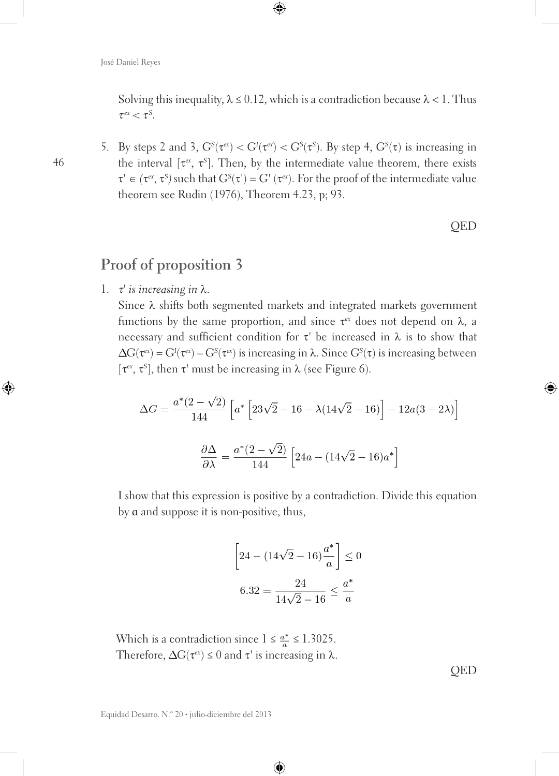Solving this inequality,  $\lambda \leq 0.12$ , which is a contradiction because  $\lambda < 1$ . Thus  $\tau^{ex} < \tau^{S}$ .

5. By steps 2 and 3,  $G^{s}(\tau^{\alpha}) < G^{t}(\tau^{\alpha}) < G^{s}(\tau^{s})$ . By step 4,  $G^{s}(\tau)$  is increasing in the interval [τ*ex*, τ*<sup>S</sup>* ]. Then, by the intermediate value theorem, there exists  $\tau' \in (\tau^{\text{ex}}, \tau^{\text{S}})$  such that  $G^{\text{S}}(\tau') = G'(\tau^{\text{ex}})$ . For the proof of the intermediate value theorem see Rudin (1976), Theorem 4.23, p; 93.

**OED** 

### **Proof of proposition 3**

1. <sup>τ</sup>*' is increasing in* λ.

Since  $\lambda$  shifts both segmented markets and integrated markets government functions by the same proportion, and since  $\tau^{ex}$  does not depend on  $\lambda$ , a necessary and sufficient condition for τ*'* be increased in λ is to show that  $G(\tau^{\alpha}) = G^I(\tau^{\alpha}) - G^S(\tau^{\alpha})$  is increasing in  $\lambda$ . Since  $G^S(\tau)$  is increasing between [τ*ex*, τ*<sup>S</sup>* ], then τ*'* must be increasing in λ (see Figure 6).

$$
\Delta G = \frac{a^*(2-\sqrt{2})}{144} \left[ a^* \left[ 23\sqrt{2} - 16 - \lambda (14\sqrt{2} - 16) \right] - 12a(3-2\lambda) \right]
$$

$$
\frac{\partial \Delta}{\partial \lambda} = \frac{a^*(2-\sqrt{2})}{144} \left[ 24a - (14\sqrt{2} - 16)a^* \right]
$$

I show that this expression is positive by a contradiction. Divide this equation by ɑ and suppose it is non-positive, thus,

$$
\[24 - (14\sqrt{2} - 16)\frac{a^*}{a}\] \le 0
$$

$$
6.32 = \frac{24}{14\sqrt{2} - 16} \le \frac{a^*}{a}
$$

Which is a contradiction since  $1 \leq \frac{a^*}{a} \leq 1.3025$ . Therefore,  $\Delta G(\tau^{ex}) \leq 0$  and  $\tau'$  is increasing in  $\lambda$ .

**OED**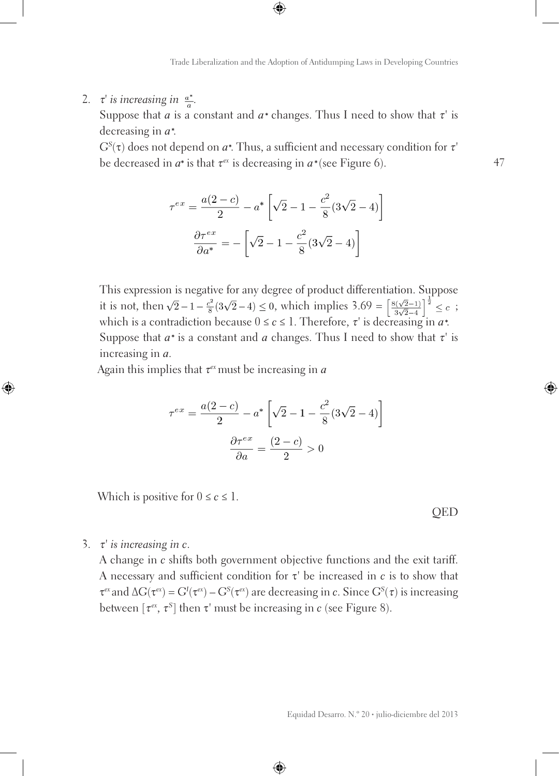2.  $\tau$ <sup>*'*</sup> *is increasing in*  $\frac{a^*}{a}$ *.* 

Suppose that *a* is a constant and  $a^*$  changes. Thus I need to show that  $\tau'$  is decreasing in *ɑ* .

*GS* (τ) does not depend on *ɑ* . Thus, a sufficient and necessary condition for τ*'*  be decreased in  $a^*$  is that  $\tau^{ex}$  is decreasing in  $a^*$  (see Figure 6).

$$
\tau^{ex} = \frac{a(2-c)}{2} - a^* \left[ \sqrt{2} - 1 - \frac{c^2}{8} (3\sqrt{2} - 4) \right]
$$

$$
\frac{\partial \tau^{ex}}{\partial a^*} = - \left[ \sqrt{2} - 1 - \frac{c^2}{8} (3\sqrt{2} - 4) \right]
$$

This expression is negative for any degree of product differentiation. Suppose it is not, then  $\sqrt{2}-1-\frac{e^2}{8}(3\sqrt{2}-4) \le 0$ , which implies  $3.69 = \left[\frac{8(\sqrt{2}-1)}{3\sqrt{2}-4}\right]^{\frac{1}{2}} \le c$ ; which is a contradiction because  $0 \le c \le 1$ . Therefore,  $\tau'$  is decreasing in  $a^*$ . Suppose that  $a^*$  is a constant and  $a$  changes. Thus I need to show that  $\tau'$  is increasing in *ɑ*.

Again this implies that τ*ex* must be increasing in *ɑ*

$$
\tau^{ex} = \frac{a(2-c)}{2} - a^* \left[ \sqrt{2} - 1 - \frac{c^2}{8} (3\sqrt{2} - 4) \right]
$$

$$
\frac{\partial \tau^{ex}}{\partial a} = \frac{(2-c)}{2} > 0
$$

Which is positive for  $0 \leq c \leq 1$ .

QED

47

3. <sup>τ</sup>*' is increasing in c*.

A change in *c* shifts both government objective functions and the exit tariff. A necessary and sufficient condition for τ*'* be increased in *c* is to show that  $τ<sup>ex</sup>$  and Δ*G*(τ<sup>*ex*</sup>) = *G<sup>I</sup>*(τ<sup>*ex*</sup>) – *G<sup>S</sup>*(τ<sup>*ex*</sup>) are decreasing in *c*. Since *G<sup>S</sup>*(τ) is increasing between  $[\tau^{\epsilon x}, \tau^S]$  then  $\tau'$  must be increasing in *c* (see Figure 8).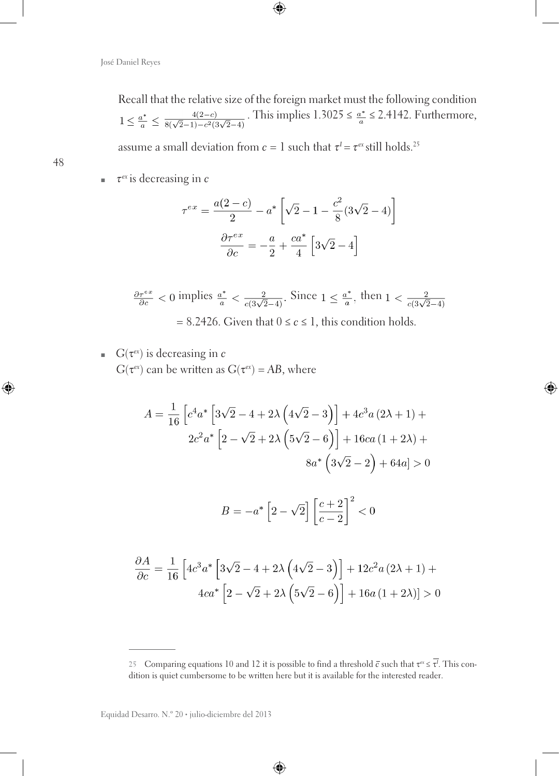Recall that the relative size of the foreign market must the following condition  $1 \leq \frac{a^*}{a} \leq \frac{4(2-c)}{8(\sqrt{2}-1)-c^2(3\sqrt{2}-4)}$ . This implies 1.3025  $\leq \frac{a^*}{a} \leq 2.4142$ . Furthermore,

assume a small deviation from  $c=1$  such that  $\tau^{\rm I}$  =  $\tau^{\rm ex}$  still holds.<sup>25</sup>

■ *τ<sup>ex</sup>* is decreasing in *c* 

$$
\tau^{ex} = \frac{a(2-c)}{2} - a^* \left[ \sqrt{2} - 1 - \frac{c^2}{8} (3\sqrt{2} - 4) \right]
$$

$$
\frac{\partial \tau^{ex}}{\partial c} = -\frac{a}{2} + \frac{ca^*}{4} \left[ 3\sqrt{2} - 4 \right]
$$

$$
\frac{\partial \tau^{ex}}{\partial c} < 0 \text{ implies } \frac{a^*}{a} < \frac{2}{c(3\sqrt{2}-4)}. \text{ Since } 1 \le \frac{a^*}{a}, \text{ then } 1 < \frac{2}{c(3\sqrt{2}-4)} = 8.2426. \text{ Given that } 0 \le c \le 1, \text{ this condition holds.}
$$

 $\blacksquare$   $G(\tau^{ex})$  is decreasing in *c G*( $\tau^{ex}$ ) can be written as *G*( $\tau^{ex}$ ) = *AB*, where

$$
A = \frac{1}{16} \left[ c^4 a^* \left[ 3\sqrt{2} - 4 + 2\lambda \left( 4\sqrt{2} - 3 \right) \right] + 4c^3 a \left( 2\lambda + 1 \right) + 2c^2 a^* \left[ 2 - \sqrt{2} + 2\lambda \left( 5\sqrt{2} - 6 \right) \right] + 16ca \left( 1 + 2\lambda \right) + 8a^* \left( 3\sqrt{2} - 2 \right) + 64a \right] > 0
$$
  

$$
B = -a^* \left[ 2 - \sqrt{2} \right] \left[ \frac{c+2}{c-2} \right]^2 < 0
$$

$$
\frac{\partial A}{\partial c} = \frac{1}{16} \left[ 4c^3 a^* \left[ 3\sqrt{2} - 4 + 2\lambda \left( 4\sqrt{2} - 3 \right) \right] + 12c^2 a (2\lambda + 1) + 4ca^* \left[ 2 - \sqrt{2} + 2\lambda \left( 5\sqrt{2} - 6 \right) \right] + 16a (1 + 2\lambda) \right] > 0
$$

<sup>25</sup> Comparing equations 10 and 12 it is possible to find a threshold  $\bar{c}$  such that  $τ^{\alpha} ≤ τ^{\prime}$ . This condition is quiet cumbersome to be written here but it is available for the interested reader.